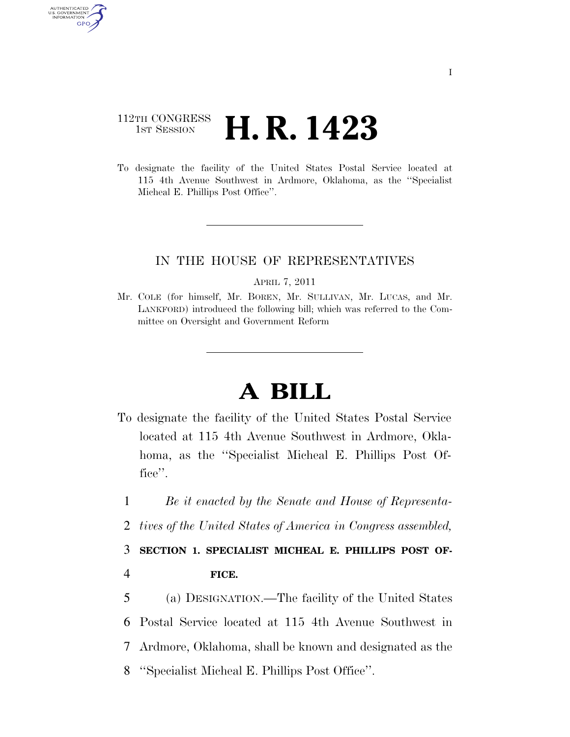## 112TH CONGRESS <sup>TH CONGRESS</sup> **H. R. 1423**

AUTHENTICATED U.S. GOVERNMENT GPO

> To designate the facility of the United States Postal Service located at 115 4th Avenue Southwest in Ardmore, Oklahoma, as the ''Specialist Micheal E. Phillips Post Office''.

## IN THE HOUSE OF REPRESENTATIVES

APRIL 7, 2011

Mr. COLE (for himself, Mr. BOREN, Mr. SULLIVAN, Mr. LUCAS, and Mr. LANKFORD) introduced the following bill; which was referred to the Committee on Oversight and Government Reform

## **A BILL**

- To designate the facility of the United States Postal Service located at 115 4th Avenue Southwest in Ardmore, Oklahoma, as the ''Specialist Micheal E. Phillips Post Office''.
- 1 *Be it enacted by the Senate and House of Representa-*
- 2 *tives of the United States of America in Congress assembled,*

3 **SECTION 1. SPECIALIST MICHEAL E. PHILLIPS POST OF-**4 **FICE.** 

 (a) DESIGNATION.—The facility of the United States Postal Service located at 115 4th Avenue Southwest in Ardmore, Oklahoma, shall be known and designated as the ''Specialist Micheal E. Phillips Post Office''.